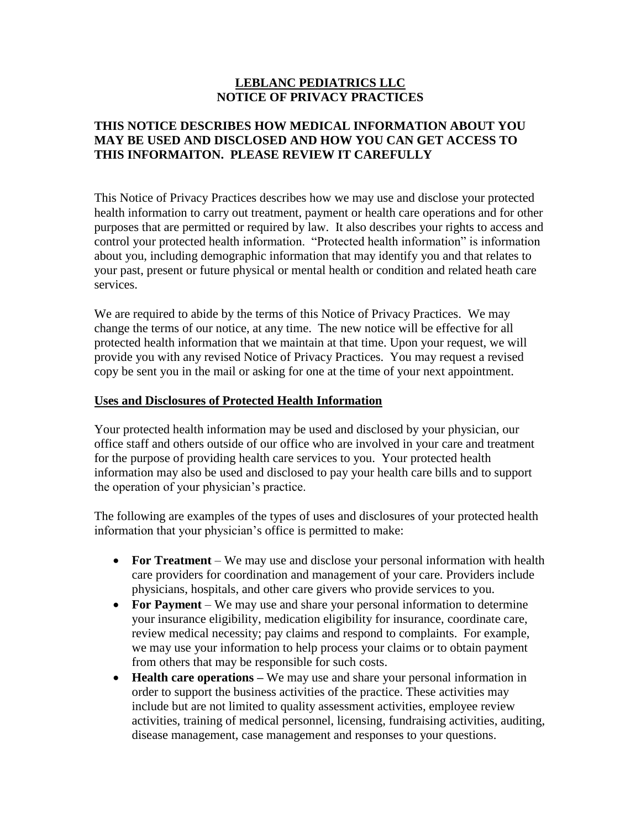#### **LEBLANC PEDIATRICS LLC NOTICE OF PRIVACY PRACTICES**

## **THIS NOTICE DESCRIBES HOW MEDICAL INFORMATION ABOUT YOU MAY BE USED AND DISCLOSED AND HOW YOU CAN GET ACCESS TO THIS INFORMAITON. PLEASE REVIEW IT CAREFULLY**

This Notice of Privacy Practices describes how we may use and disclose your protected health information to carry out treatment, payment or health care operations and for other purposes that are permitted or required by law. It also describes your rights to access and control your protected health information. "Protected health information" is information about you, including demographic information that may identify you and that relates to your past, present or future physical or mental health or condition and related heath care services.

We are required to abide by the terms of this Notice of Privacy Practices. We may change the terms of our notice, at any time. The new notice will be effective for all protected health information that we maintain at that time. Upon your request, we will provide you with any revised Notice of Privacy Practices. You may request a revised copy be sent you in the mail or asking for one at the time of your next appointment.

#### **Uses and Disclosures of Protected Health Information**

Your protected health information may be used and disclosed by your physician, our office staff and others outside of our office who are involved in your care and treatment for the purpose of providing health care services to you. Your protected health information may also be used and disclosed to pay your health care bills and to support the operation of your physician's practice.

The following are examples of the types of uses and disclosures of your protected health information that your physician's office is permitted to make:

- **For Treatment**  We may use and disclose your personal information with health care providers for coordination and management of your care. Providers include physicians, hospitals, and other care givers who provide services to you.
- For Payment We may use and share your personal information to determine your insurance eligibility, medication eligibility for insurance, coordinate care, review medical necessity; pay claims and respond to complaints. For example, we may use your information to help process your claims or to obtain payment from others that may be responsible for such costs.
- **Health care operations** We may use and share your personal information in order to support the business activities of the practice. These activities may include but are not limited to quality assessment activities, employee review activities, training of medical personnel, licensing, fundraising activities, auditing, disease management, case management and responses to your questions.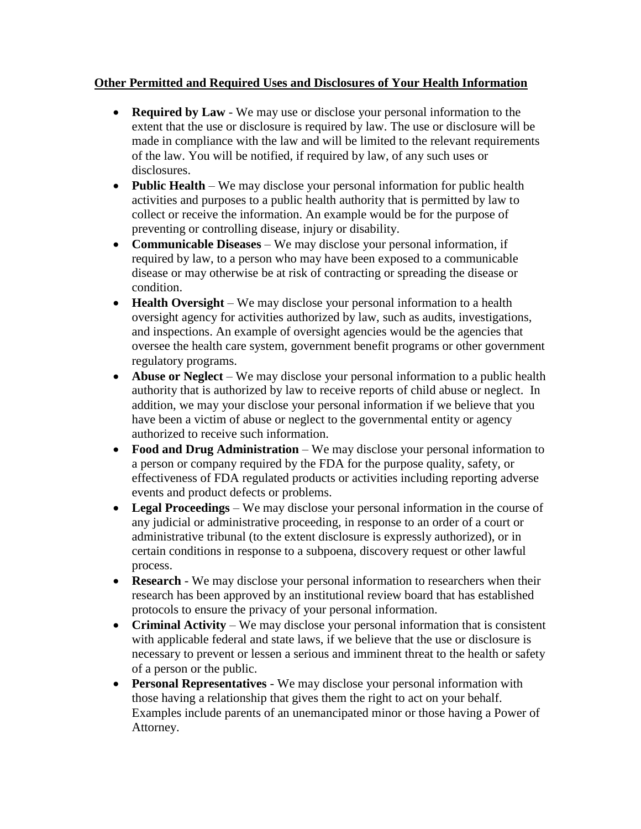## **Other Permitted and Required Uses and Disclosures of Your Health Information**

- **Required by Law**  We may use or disclose your personal information to the extent that the use or disclosure is required by law. The use or disclosure will be made in compliance with the law and will be limited to the relevant requirements of the law. You will be notified, if required by law, of any such uses or disclosures.
- **Public Health** We may disclose your personal information for public health activities and purposes to a public health authority that is permitted by law to collect or receive the information. An example would be for the purpose of preventing or controlling disease, injury or disability.
- **Communicable Diseases** We may disclose your personal information, if required by law, to a person who may have been exposed to a communicable disease or may otherwise be at risk of contracting or spreading the disease or condition.
- **Health Oversight** We may disclose your personal information to a health oversight agency for activities authorized by law, such as audits, investigations, and inspections. An example of oversight agencies would be the agencies that oversee the health care system, government benefit programs or other government regulatory programs.
- **Abuse or Neglect** We may disclose your personal information to a public health authority that is authorized by law to receive reports of child abuse or neglect. In addition, we may your disclose your personal information if we believe that you have been a victim of abuse or neglect to the governmental entity or agency authorized to receive such information.
- **Food and Drug Administration** We may disclose your personal information to a person or company required by the FDA for the purpose quality, safety, or effectiveness of FDA regulated products or activities including reporting adverse events and product defects or problems.
- Legal Proceedings We may disclose your personal information in the course of any judicial or administrative proceeding, in response to an order of a court or administrative tribunal (to the extent disclosure is expressly authorized), or in certain conditions in response to a subpoena, discovery request or other lawful process.
- **Research** We may disclose your personal information to researchers when their research has been approved by an institutional review board that has established protocols to ensure the privacy of your personal information.
- **Criminal Activity** We may disclose your personal information that is consistent with applicable federal and state laws, if we believe that the use or disclosure is necessary to prevent or lessen a serious and imminent threat to the health or safety of a person or the public.
- **Personal Representatives**  We may disclose your personal information with those having a relationship that gives them the right to act on your behalf. Examples include parents of an unemancipated minor or those having a Power of Attorney.